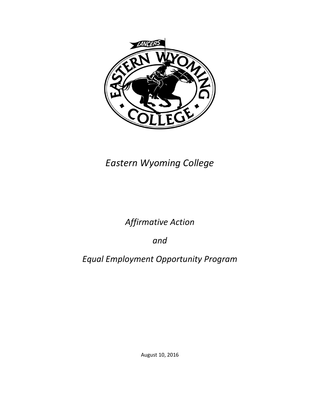

# *Eastern Wyoming College*

## *Affirmative Action*

*and*

*Equal Employment Opportunity Program*

August 10, 2016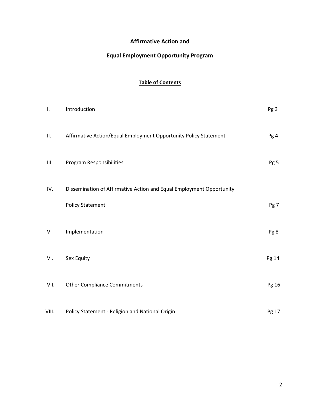### **Affirmative Action and**

### **Equal Employment Opportunity Program**

### **Table of Contents**

| Ι.    | Introduction                                                         | Pg <sub>3</sub> |
|-------|----------------------------------------------------------------------|-----------------|
| П.    | Affirmative Action/Equal Employment Opportunity Policy Statement     | Pg 4            |
| Ш.    | Program Responsibilities                                             | Pg 5            |
| IV.   | Dissemination of Affirmative Action and Equal Employment Opportunity |                 |
|       | <b>Policy Statement</b>                                              | Pg 7            |
| V.    | Implementation                                                       | Pg 8            |
| VI.   | Sex Equity                                                           | Pg 14           |
| VII.  | <b>Other Compliance Commitments</b>                                  | Pg 16           |
| VIII. | Policy Statement - Religion and National Origin                      | Pg 17           |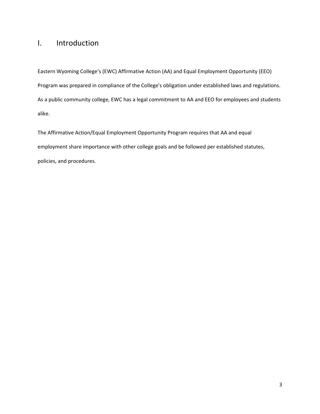### I. Introduction

Eastern Wyoming College's (EWC) Affirmative Action (AA) and Equal Employment Opportunity (EEO) Program was prepared in compliance of the College's obligation under established laws and regulations. As a public community college, EWC has a legal commitment to AA and EEO for employees and students alike.

The Affirmative Action/Equal Employment Opportunity Program requires that AA and equal employment share importance with other college goals and be followed per established statutes, policies, and procedures.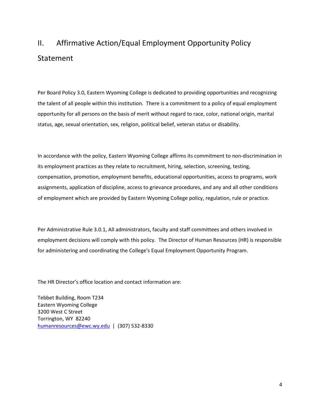# II. Affirmative Action/Equal Employment Opportunity Policy Statement

Per Board Policy 3.0, Eastern Wyoming College is dedicated to providing opportunities and recognizing the talent of all people within this institution. There is a commitment to a policy of equal employment opportunity for all persons on the basis of merit without regard to race, color, national origin, marital status, age, sexual orientation, sex, religion, political belief, veteran status or disability.

In accordance with the policy, Eastern Wyoming College affirms its commitment to non-discrimination in its employment practices as they relate to recruitment, hiring, selection, screening, testing, compensation, promotion, employment benefits, educational opportunities, access to programs, work assignments, application of discipline, access to grievance procedures, and any and all other conditions of employment which are provided by Eastern Wyoming College policy, regulation, rule or practice.

Per Administrative Rule 3.0.1, All administrators, faculty and staff committees and others involved in employment decisions will comply with this policy. The Director of Human Resources (HR) is responsible for administering and coordinating the College's Equal Employment Opportunity Program.

The HR Director's office location and contact information are:

Tebbet Building, Room T234 Eastern Wyoming College 3200 West C Street Torrington, WY 82240 [humanresources@ewc.wy.edu](mailto:humanresources@ewc.wy.edu) | (307) 532-8330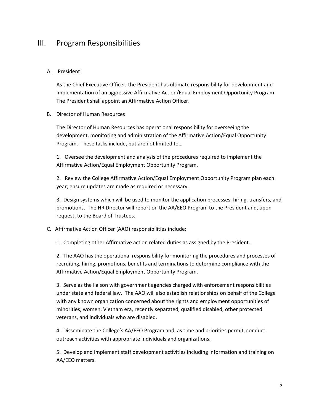### III. Program Responsibilities

### A. President

As the Chief Executive Officer, the President has ultimate responsibility for development and implementation of an aggressive Affirmative Action/Equal Employment Opportunity Program. The President shall appoint an Affirmative Action Officer.

### B. Director of Human Resources

The Director of Human Resources has operational responsibility for overseeing the development, monitoring and administration of the Affirmative Action/Equal Opportunity Program. These tasks include, but are not limited to…

1. Oversee the development and analysis of the procedures required to implement the Affirmative Action/Equal Employment Opportunity Program.

2. Review the College Affirmative Action/Equal Employment Opportunity Program plan each year; ensure updates are made as required or necessary.

3. Design systems which will be used to monitor the application processes, hiring, transfers, and promotions. The HR Director will report on the AA/EEO Program to the President and, upon request, to the Board of Trustees.

### C. Affirmative Action Officer (AAO) responsibilities include:

1. Completing other Affirmative action related duties as assigned by the President.

2. The AAO has the operational responsibility for monitoring the procedures and processes of recruiting, hiring, promotions, benefits and terminations to determine compliance with the Affirmative Action/Equal Employment Opportunity Program.

3. Serve as the liaison with government agencies charged with enforcement responsibilities under state and federal law. The AAO will also establish relationships on behalf of the College with any known organization concerned about the rights and employment opportunities of minorities, women, Vietnam era, recently separated, qualified disabled, other protected veterans, and individuals who are disabled.

4. Disseminate the College's AA/EEO Program and, as time and priorities permit, conduct outreach activities with appropriate individuals and organizations.

5. Develop and implement staff development activities including information and training on AA/EEO matters.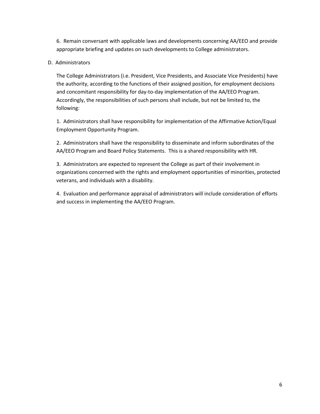6. Remain conversant with applicable laws and developments concerning AA/EEO and provide appropriate briefing and updates on such developments to College administrators.

### D. Administrators

The College Administrators (i.e. President, Vice Presidents, and Associate Vice Presidents) have the authority, according to the functions of their assigned position, for employment decisions and concomitant responsibility for day-to-day implementation of the AA/EEO Program. Accordingly, the responsibilities of such persons shall include, but not be limited to, the following:

1. Administrators shall have responsibility for implementation of the Affirmative Action/Equal Employment Opportunity Program.

2. Administrators shall have the responsibility to disseminate and inform subordinates of the AA/EEO Program and Board Policy Statements. This is a shared responsibility with HR.

3. Administrators are expected to represent the College as part of their involvement in organizations concerned with the rights and employment opportunities of minorities, protected veterans, and individuals with a disability.

4. Evaluation and performance appraisal of administrators will include consideration of efforts and success in implementing the AA/EEO Program.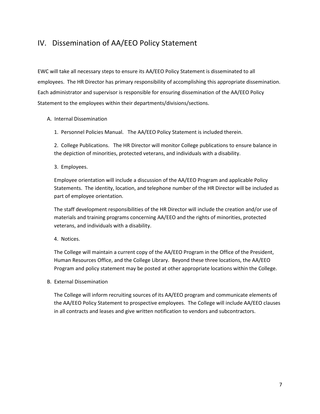## IV. Dissemination of AA/EEO Policy Statement

EWC will take all necessary steps to ensure its AA/EEO Policy Statement is disseminated to all employees. The HR Director has primary responsibility of accomplishing this appropriate dissemination. Each administrator and supervisor is responsible for ensuring dissemination of the AA/EEO Policy Statement to the employees within their departments/divisions/sections.

### A. Internal Dissemination

1. Personnel Policies Manual. The AA/EEO Policy Statement is included therein.

2. College Publications. The HR Director will monitor College publications to ensure balance in the depiction of minorities, protected veterans, and individuals with a disability.

3. Employees.

Employee orientation will include a discussion of the AA/EEO Program and applicable Policy Statements. The identity, location, and telephone number of the HR Director will be included as part of employee orientation.

The staff development responsibilities of the HR Director will include the creation and/or use of materials and training programs concerning AA/EEO and the rights of minorities, protected veterans, and individuals with a disability.

4. Notices.

The College will maintain a current copy of the AA/EEO Program in the Office of the President, Human Resources Office, and the College Library. Beyond these three locations, the AA/EEO Program and policy statement may be posted at other appropriate locations within the College.

B. External Dissemination

The College will inform recruiting sources of its AA/EEO program and communicate elements of the AA/EEO Policy Statement to prospective employees. The College will include AA/EEO clauses in all contracts and leases and give written notification to vendors and subcontractors.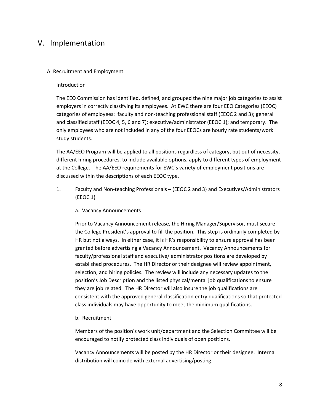### V. Implementation

#### A. Recruitment and Employment

#### Introduction

The EEO Commission has identified, defined, and grouped the nine major job categories to assist employers in correctly classifying its employees. At EWC there are four EEO Categories (EEOC) categories of employees: faculty and non-teaching professional staff (EEOC 2 and 3); general and classified staff (EEOC 4, 5, 6 and 7); executive/administrator (EEOC 1); and temporary. The only employees who are not included in any of the four EEOCs are hourly rate students/work study students.

The AA/EEO Program will be applied to all positions regardless of category, but out of necessity, different hiring procedures, to include available options, apply to different types of employment at the College. The AA/EEO requirements for EWC's variety of employment positions are discussed within the descriptions of each EEOC type.

- 1. Faculty and Non-teaching Professionals (EEOC 2 and 3) and Executives/Administrators (EEOC 1)
	- a. Vacancy Announcements

Prior to Vacancy Announcement release, the Hiring Manager/Supervisor, must secure the College President's approval to fill the position. This step is ordinarily completed by HR but not always. In either case, it is HR's responsibility to ensure approval has been granted before advertising a Vacancy Announcement. Vacancy Announcements for faculty/professional staff and executive/ administrator positions are developed by established procedures. The HR Director or their designee will review appointment, selection, and hiring policies. The review will include any necessary updates to the position's Job Description and the listed physical/mental job qualifications to ensure they are job related. The HR Director will also insure the job qualifications are consistent with the approved general classification entry qualifications so that protected class individuals may have opportunity to meet the minimum qualifications.

b. Recruitment

Members of the position's work unit/department and the Selection Committee will be encouraged to notify protected class individuals of open positions.

Vacancy Announcements will be posted by the HR Director or their designee. Internal distribution will coincide with external advertising/posting.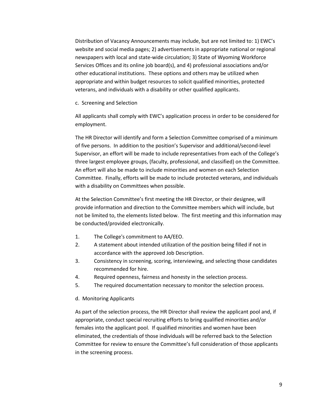Distribution of Vacancy Announcements may include, but are not limited to: 1) EWC's website and social media pages; 2) advertisements in appropriate national or regional newspapers with local and state-wide circulation; 3) State of Wyoming Workforce Services Offices and its online job board(s), and 4) professional associations and/or other educational institutions. These options and others may be utilized when appropriate and within budget resources to solicit qualified minorities, protected veterans, and individuals with a disability or other qualified applicants.

c. Screening and Selection

All applicants shall comply with EWC's application process in order to be considered for employment.

The HR Director will identify and form a Selection Committee comprised of a minimum of five persons. In addition to the position's Supervisor and additional/second-level Supervisor, an effort will be made to include representatives from each of the College's three largest employee groups, (faculty, professional, and classified) on the Committee. An effort will also be made to include minorities and women on each Selection Committee. Finally, efforts will be made to include protected veterans, and individuals with a disability on Committees when possible.

At the Selection Committee's first meeting the HR Director, or their designee, will provide information and direction to the Committee members which will include, but not be limited to, the elements listed below. The first meeting and this information may be conducted/provided electronically.

- 1. The College's commitment to AA/EEO.
- 2. A statement about intended utilization of the position being filled if not in accordance with the approved Job Description.
- 3. Consistency in screening, scoring, interviewing, and selecting those candidates recommended for hire.
- 4. Required openness, fairness and honesty in the selection process.
- 5. The required documentation necessary to monitor the selection process.
- d. Monitoring Applicants

As part of the selection process, the HR Director shall review the applicant pool and, if appropriate, conduct special recruiting efforts to bring qualified minorities and/or females into the applicant pool. If qualified minorities and women have been eliminated, the credentials of those individuals will be referred back to the Selection Committee for review to ensure the Committee's full consideration of those applicants in the screening process.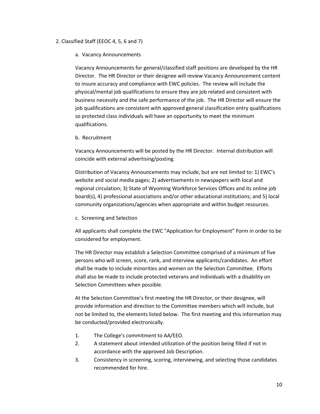### 2. Classified Staff (EEOC 4, 5, 6 and 7)

#### a. Vacancy Announcements

Vacancy Announcements for general/classified staff positions are developed by the HR Director. The HR Director or their designee will review Vacancy Announcement content to insure accuracy and compliance with EWC policies. The review will include the physical/mental job qualifications to ensure they are job related and consistent with business necessity and the safe performance of the job. The HR Director will ensure the job qualifications are consistent with approved general classification entry qualifications so protected class individuals will have an opportunity to meet the minimum qualifications.

b. Recruitment

Vacancy Announcements will be posted by the HR Director. Internal distribution will coincide with external advertising/posting.

Distribution of Vacancy Announcements may include, but are not limited to: 1) EWC's website and social media pages; 2) advertisements in newspapers with local and regional circulation; 3) State of Wyoming Workforce Services Offices and its online job board(s), 4) professional associations and/or other educational institutions; and 5) local community organizations/agencies when appropriate and within budget resources.

c. Screening and Selection

All applicants shall complete the EWC "Application for Employment" Form in order to be considered for employment.

The HR Director may establish a Selection Committee comprised of a minimum of five persons who will screen, score, rank, and interview applicants/candidates. An effort shall be made to include minorities and women on the Selection Committee. Efforts shall also be made to include protected veterans and individuals with a disability on Selection Committees when possible.

At the Selection Committee's first meeting the HR Director, or their designee, will provide information and direction to the Committee members which will include, but not be limited to, the elements listed below. The first meeting and this information may be conducted/provided electronically.

- 1. The College's commitment to AA/EEO.
- 2. A statement about intended utilization of the position being filled if not in accordance with the approved Job Description.
- 3. Consistency in screening, scoring, interviewing, and selecting those candidates recommended for hire.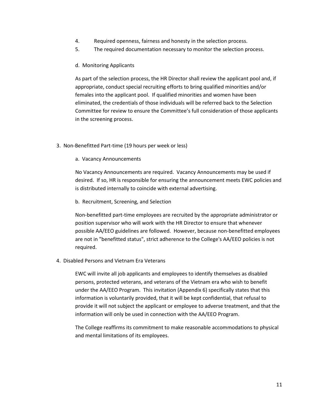- 4. Required openness, fairness and honesty in the selection process.
- 5. The required documentation necessary to monitor the selection process.
- d. Monitoring Applicants

As part of the selection process, the HR Director shall review the applicant pool and, if appropriate, conduct special recruiting efforts to bring qualified minorities and/or females into the applicant pool. If qualified minorities and women have been eliminated, the credentials of those individuals will be referred back to the Selection Committee for review to ensure the Committee's full consideration of those applicants in the screening process.

- 3. Non-Benefitted Part-time (19 hours per week or less)
	- a. Vacancy Announcements

No Vacancy Announcements are required. Vacancy Announcements may be used if desired. If so, HR is responsible for ensuring the announcement meets EWC policies and is distributed internally to coincide with external advertising.

b. Recruitment, Screening, and Selection

Non-benefitted part-time employees are recruited by the appropriate administrator or position supervisor who will work with the HR Director to ensure that whenever possible AA/EEO guidelines are followed. However, because non-benefitted employees are not in "benefitted status", strict adherence to the College's AA/EEO policies is not required.

4. Disabled Persons and Vietnam Era Veterans

EWC will invite all job applicants and employees to identify themselves as disabled persons, protected veterans, and veterans of the Vietnam era who wish to benefit under the AA/EEO Program. This invitation (Appendix 6) specifically states that this information is voluntarily provided, that it will be kept confidential, that refusal to provide it will not subject the applicant or employee to adverse treatment, and that the information will only be used in connection with the AA/EEO Program.

The College reaffirms its commitment to make reasonable accommodations to physical and mental limitations of its employees.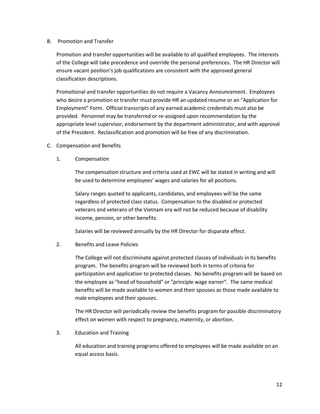### B. Promotion and Transfer

Promotion and transfer opportunities will be available to all qualified employees. The interests of the College will take precedence and override the personal preferences. The HR Director will ensure vacant position's job qualifications are consistent with the approved general classification descriptions.

Promotional and transfer opportunities do not require a Vacancy Announcement. Employees who desire a promotion or transfer must provide HR an updated resume or an "Application for Employment" Form. Official transcripts of any earned academic credentials must also be provided. Personnel may be transferred or re-assigned upon recommendation by the appropriate level supervisor, endorsement by the department administrator, and with approval of the President. Reclassification and promotion will be free of any discrimination.

- C. Compensation and Benefits
	- 1. Compensation

The compensation structure and criteria used at EWC will be stated in writing and will be used to determine employees' wages and salaries for all positions.

Salary ranges quoted to applicants, candidates, and employees will be the same regardless of protected class status. Compensation to the disabled or protected veterans and veterans of the Vietnam era will not be reduced because of disability income, pension, or other benefits.

Salaries will be reviewed annually by the HR Director for disparate effect.

### 2. Benefits and Leave Policies

The College will not discriminate against protected classes of individuals in its benefits program. The benefits program will be reviewed both in terms of criteria for participation and application to protected classes. No benefits program will be based on the employee as "head of household" or "principle wage earner". The same medical benefits will be made available to women and their spouses as those made available to male employees and their spouses.

The HR Director will periodically review the benefits program for possible discriminatory effect on women with respect to pregnancy, maternity, or abortion.

3. Education and Training

All education and training programs offered to employees will be made available on an equal access basis.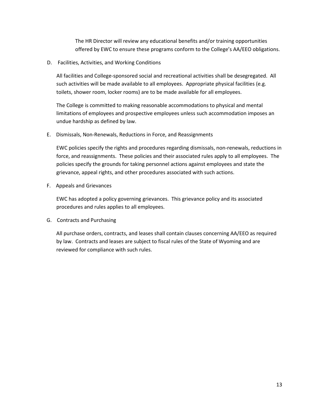The HR Director will review any educational benefits and/or training opportunities offered by EWC to ensure these programs conform to the College's AA/EEO obligations.

D. Facilities, Activities, and Working Conditions

All facilities and College-sponsored social and recreational activities shall be desegregated. All such activities will be made available to all employees. Appropriate physical facilities (e.g. toilets, shower room, locker rooms) are to be made available for all employees.

The College is committed to making reasonable accommodations to physical and mental limitations of employees and prospective employees unless such accommodation imposes an undue hardship as defined by law.

E. Dismissals, Non-Renewals, Reductions in Force, and Reassignments

EWC policies specify the rights and procedures regarding dismissals, non-renewals, reductions in force, and reassignments. These policies and their associated rules apply to all employees. The policies specify the grounds for taking personnel actions against employees and state the grievance, appeal rights, and other procedures associated with such actions.

F. Appeals and Grievances

EWC has adopted a policy governing grievances. This grievance policy and its associated procedures and rules applies to all employees.

G. Contracts and Purchasing

All purchase orders, contracts, and leases shall contain clauses concerning AA/EEO as required by law. Contracts and leases are subject to fiscal rules of the State of Wyoming and are reviewed for compliance with such rules.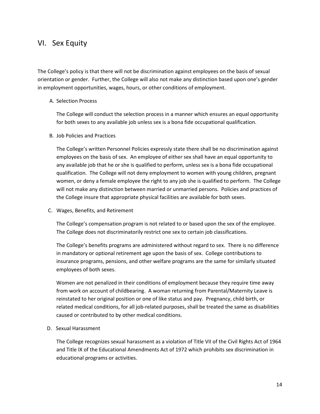### VI. Sex Equity

The College's policy is that there will not be discrimination against employees on the basis of sexual orientation or gender. Further, the College will also not make any distinction based upon one's gender in employment opportunities, wages, hours, or other conditions of employment.

#### A. Selection Process

The College will conduct the selection process in a manner which ensures an equal opportunity for both sexes to any available job unless sex is a bona fide occupational qualification.

#### B. Job Policies and Practices

The College's written Personnel Policies expressly state there shall be no discrimination against employees on the basis of sex. An employee of either sex shall have an equal opportunity to any available job that he or she is qualified to perform, unless sex is a bona fide occupational qualification. The College will not deny employment to women with young children, pregnant women, or deny a female employee the right to any job she is qualified to perform. The College will not make any distinction between married or unmarried persons. Policies and practices of the College insure that appropriate physical facilities are available for both sexes.

C. Wages, Benefits, and Retirement

The College's compensation program is not related to or based upon the sex of the employee. The College does not discriminatorily restrict one sex to certain job classifications.

The College's benefits programs are administered without regard to sex. There is no difference in mandatory or optional retirement age upon the basis of sex. College contributions to insurance programs, pensions, and other welfare programs are the same for similarly situated employees of both sexes.

Women are not penalized in their conditions of employment because they require time away from work on account of childbearing. A woman returning from Parental/Maternity Leave is reinstated to her original position or one of like status and pay. Pregnancy, child birth, or related medical conditions, for all job-related purposes, shall be treated the same as disabilities caused or contributed to by other medical conditions.

D. Sexual Harassment

The College recognizes sexual harassment as a violation of Title VII of the Civil Rights Act of 1964 and Title IX of the Educational Amendments Act of 1972 which prohibits sex discrimination in educational programs or activities.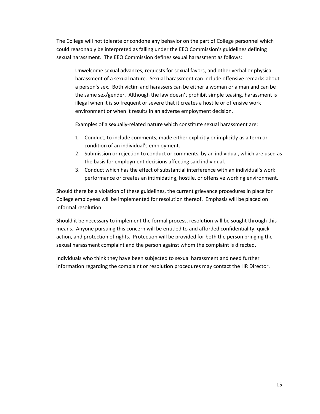The College will not tolerate or condone any behavior on the part of College personnel which could reasonably be interpreted as falling under the EEO Commission's guidelines defining sexual harassment. The EEO Commission defines sexual harassment as follows:

Unwelcome sexual advances, requests for sexual favors, and other verbal or physical harassment of a sexual nature. Sexual harassment can include offensive remarks about a person's sex. Both victim and harassers can be either a woman or a man and can be the same sex/gender. Although the law doesn't prohibit simple teasing, harassment is illegal when it is so frequent or severe that it creates a hostile or offensive work environment or when it results in an adverse employment decision.

Examples of a sexually-related nature which constitute sexual harassment are:

- 1. Conduct, to include comments, made either explicitly or implicitly as a term or condition of an individual's employment.
- 2. Submission or rejection to conduct or comments, by an individual, which are used as the basis for employment decisions affecting said individual.
- 3. Conduct which has the effect of substantial interference with an individual's work performance or creates an intimidating, hostile, or offensive working environment.

Should there be a violation of these guidelines, the current grievance procedures in place for College employees will be implemented for resolution thereof. Emphasis will be placed on informal resolution.

Should it be necessary to implement the formal process, resolution will be sought through this means. Anyone pursuing this concern will be entitled to and afforded confidentiality, quick action, and protection of rights. Protection will be provided for both the person bringing the sexual harassment complaint and the person against whom the complaint is directed.

Individuals who think they have been subjected to sexual harassment and need further information regarding the complaint or resolution procedures may contact the HR Director.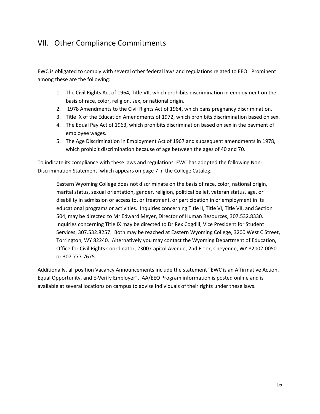## VII. Other Compliance Commitments

EWC is obligated to comply with several other federal laws and regulations related to EEO. Prominent among these are the following:

- 1. The Civil Rights Act of 1964, Title VII, which prohibits discrimination in employment on the basis of race, color, religion, sex, or national origin.
- 2. 1978 Amendments to the Civil Rights Act of 1964, which bans pregnancy discrimination.
- 3. Title IX of the Education Amendments of 1972, which prohibits discrimination based on sex.
- 4. The Equal Pay Act of 1963, which prohibits discrimination based on sex in the payment of employee wages.
- 5. The Age Discrimination in Employment Act of 1967 and subsequent amendments in 1978, which prohibit discrimination because of age between the ages of 40 and 70.

To indicate its compliance with these laws and regulations, EWC has adopted the following Non-Discrimination Statement, which appears on page 7 in the College Catalog.

Eastern Wyoming College does not discriminate on the basis of race, color, national origin, marital status, sexual orientation, gender, religion, political belief, veteran status, age, or disability in admission or access to, or treatment, or participation in or employment in its educational programs or activities. Inquiries concerning Title II, Title VI, Title VII, and Section 504, may be directed to Mr Edward Meyer, Director of Human Resources, 307.532.8330. Inquiries concerning Title IX may be directed to Dr Rex Cogdill, Vice President for Student Services, 307.532.8257. Both may be reached at Eastern Wyoming College, 3200 West C Street, Torrington, WY 82240. Alternatively you may contact the Wyoming Department of Education, Office for Civil Rights Coordinator, 2300 Capitol Avenue, 2nd Floor, Cheyenne, WY 82002-0050 or 307.777.7675.

Additionally, all position Vacancy Announcements include the statement "EWC is an Affirmative Action, Equal Opportunity, and E-Verify Employer". AA/EEO Program information is posted online and is available at several locations on campus to advise individuals of their rights under these laws.